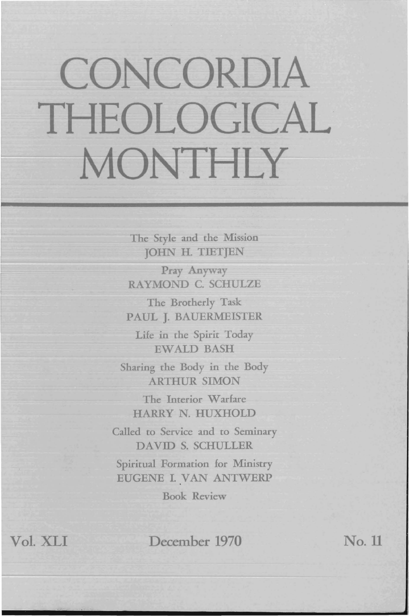## **CONCORDIA** THEOLOGICAL MONTHLY

The Style and the Mission JOHN H. TIETJEN

Pray Anyway RAYMOND C. SCHULZE

The Brotherly Task PAUL J. BAUERMEISTER

Life in the Spirit Today EWALD BASH

Sharing the Body in the Body ARTHUR SIMON

The Interior Warfare HARRY N. HUXHOLD

Called to Service and to Seminary DAVID S. SCHULLER

Spiritual Formation for Ministry EUGENE I. VAN ANTWERP

Book Review

Vol. XLI December 1970 No. 11

r-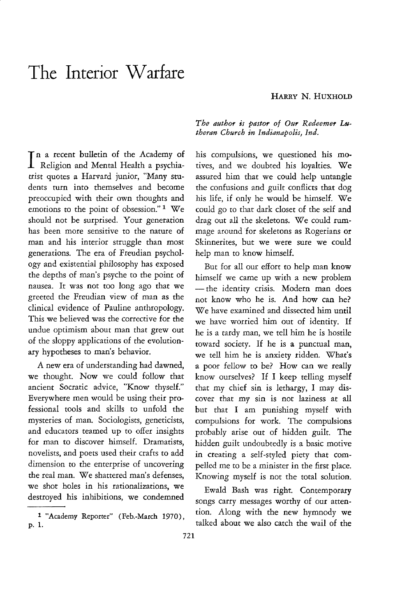## **The Interior Warfare**

I Religion and Mental Health a psychiana recent bulletin of the Academy of trist quotes a Harvard junior, "Many students turn into themselves and become preoccupied with their own thoughts and emotions to the point of obsession."<sup>1</sup> We should not be surprised. Your generation has been more sensitive to the nature of man and his interior struggle than most generations. The era of Freudian psychology and existential philosophy has exposed the depths of man's psyche to the point of nausea. It was not too long ago that we greeted the Freudian view of man as the clinical evidence of Pauline anthropology. This we believed was the corrective for the undue optimism about man that grew out of the sloppy applications of the evolutionary hypotheses to man's behavior.

A new era of understanding had dawned, we thought. Now we could follow that ancient Socratic advice, "Know thyself." Everywhere men would be using their professional tools and skills to unfold the mysteries of man. Sociologists, geneticists, and educators teamed up to offer insights for man to discover himself. Dramatists, novelists, and poets used their crafts to add dimension to the enterprise of uncovering the real man. We shattered man's defenses, we shot holes in his rationalizations, we destroyed his inhibitions, we condemned *The author is pastor of Our Redeemer Lutheran Church in Indianapolis, Ind.* 

his compulsions, we questioned his motives, and we doubted his loyalties. We assured him that we could help untangle the confusions and guilt conflicts that dog his life, if only he would be himself. We could go to that dark closet of the self and drag out all the skeletons. We could rummage around for skeletons as Rogerians or Skinnerites, but we were sure we could help man to know himself.

But for all our effort to help man know himself we came up with a new problem - the identity crisis. Modern man does not know who he is. And how can he? We have examined and dissected him until we have worried him out of identity. If he is a tardy man, we tell him he is hostile toward society. If he is a punctual man, we tell him he is anxiety ridden. What's a poor fellow to be? How can we really know ourselves? If I keep telling myself that my chief sin is lethargy, I may discover that my sin is not laziness at all but that I am punishing myself with compulsions for work. The compulsions probably arise out of hidden guilt. The hidden guilt undoubtedly is a basic motive in creating a self-styled piety that compelled me to be a minister in the first place. Knowing myself is not the total solution.

Ewald Bash was right. Contemporary songs carry messages worthy of our attention. Along with the new hymnody we talked about we also catch the wail of the

<sup>1 &</sup>quot;Academy Reporter" (Feb.-March 1970), p. 1.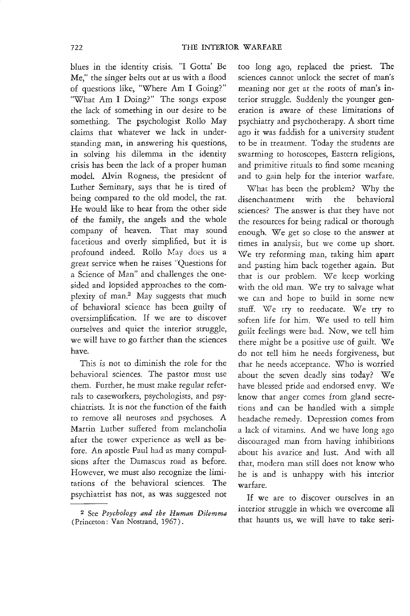blues in the identity crisis. "I Gotta' Be Me," the singer belts out at us with a flood of questions like, "Where Am I Going?" "What Am I Doing?" The songs expose the lack of something in our desire to be something. The psychologist Rollo May claims that whatever we lack in understanding man, in answering his questions, in solving his dilemma in the identity crisis has been the lack of a proper human model. Alvin Rogness, the president of Luther Seminary, says that he is tired of being compared to the old model, the rat. He would like to hear from the other side of the family, the angels and the whole company of heaven. That may sound facetious and overly simplified, but it is profound indeed. Rollo May does us a great service when he raises "Questions for a Science of Man" and challenges the onesided and lopsided approaches to the complexity of man.2 May suggests that much of behavioral science has been guilty of oversimplification. If we are to discover ourselves and quiet the interior struggle, we will have to go farther than the sciences have.

This is not to diminish the role for the behavioral sciences. The pastor must use them. Further, he must make regular referrals to caseworkers, psychologists, and psychiatrists. It is not the function of the faith to remove all neuroses and psychoses. A Martin Luther suffered from melancholia after the tower experience as well as before. An apostle Paul had as many compulsions after the Damascus road as before. However, we must also recognize the limitations of the behavioral sciences. The psychiatrist has not, as was suggested not

too long ago, replaced the priest. The sciences cannot unlock the secret of man's meaning nor get at the roots of man's interior struggle. Suddenly the younger generation is aware of these limitations of psychiatry and psychotherapy. A short time ago it was faddish for a university student to be in treatment. Today the students are swarming to horoscopes, Eastern religions, and primitive rituals to find some meaning and to gain help for the interior warfare.

What has been the problem? Why the disenchantment with the behavioral sciences? The answer is that they have not the resources for being radical or thorough enough. We get so close to the answer at times in analysis, but we come up short. We try reforming man, taking him apart and pasting him back together again. But that is our problem. We keep working with the old man. We try to salvage what we can and hope to build in some new stuff. We try to reeducate. We try to soften life for him. We used to tell him guilt feelings were bad. Now, we tell him there might be a positive use of guilt. We do not tell him he needs forgiveness, but that he needs acceptance. Who is worried about the seven deadly sins today? We have blessed pride and endorsed envy. We know that anger comes from gland secretions and can be handled with a simple headache remedy. Depression comes from a lack of vitamins. And we have long ago discouraged man from having inhibitions about his avarice and lust. And with all that, modern man still does not know who he is and is unhappy with his interior warfare.

If we are to discover ourselves in an interior struggle in which we overcome all that haunts us, we will have to take seri-

<sup>2</sup> See *Psychology and the Human Dilemma*  (Princeton: Van Nostrand, 1967).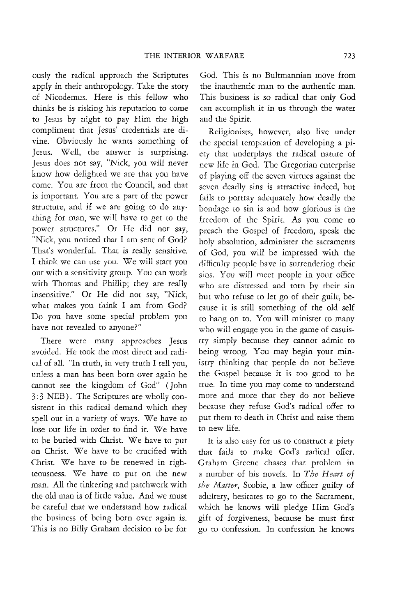ously the radical approach the Scriptures apply in their anthropology. Take the story of Nicodemus. Here is this fellow who thinks he is risking his reputation to come to Jesus by night to pay Him the high compliment that Jesus' credentials are divine. Obviously he wants something of Jesus. Well, the answer is surprising. Jesus does not say, "Nick, you will never know how delighted we are that you have come. You are from the Council, and that is important. You are a part of the power structure, and if we are going to do anything for man, we will have to get to the power structures." Or He did not say, "Nick, you noticed that I am sent of God? That's wonderful. That is really sensitive. I think we can use you. *We* will starr you out with a sensitivity group. You can work with Thomas and Phillip; they are really insensitive." Or He did not say, "Nick, what makes you think I am from God? Do you have some special problem you have not revealed to anyone?"

There were many approaches Jesus avoided. He took the most direct and radical of all. "In truth, in very truth I tell you, unless a man has been born over again he cannot see the kingdom of God" (John 3: 3 NEB). The Scriptures are wholly consistent in this radical demand which they spell out in a variety of ways. We have to lose our life in order to find it. We have to be buried with Christ. We have to put on Christ. We have to be crucified with Christ. We have to be renewed in righteousness. We have to put on the new man. All the tinkering and patchwork with the old man is of little value. And we must be careful that we understand how radical the business of being born over again is. This is no Billy Graham decision to be for

God. This is no Bultmannian move from the inauthentic man to the authentic man. This business is so radical that only God can accomplish it in us through the water and the Spirit.

Religionists, however, also live under the special temptation of developing a piety that underplays the radical nature of new life in God. The Gregorian enterprise of playing off the seven virtues against the seven deadly sins is attractive indeed, but fails to portray adequately how deadly the bondage to sin is and how glorious is the freedom of the Spirit. As you come to preach the Gospel of freedom, speak the holy absolution, administer the sacraments of God, you will be impressed with the difficulty people have in surrendering their sins. You will meet people in your office who are distressed and torn by their sin bur who refuse to let go of their guilt, because it is still something of the old self to hang on to. You will minister to many who will engage you in the game of casuistry simply because they cannot admit to being wrong. You may begin your ministry thinking that people do not believe the Gospel because it is too good to be true. In time you may come to understand more and more that they do not believe because they refuse God's radical offer to put them to death in Christ and raise them to new life.

It is also easy for us to construct a piety that fails to make God's radical offer. Graham Greene chases that problem in a number of his novels. In *The Heart of the Matter,* Scobie, a law officer guilty of adultery, hesitates to go to the Sacrament, which he knows will pledge Him God's gift of forgiveness, because he must first go to confession. In confession he knows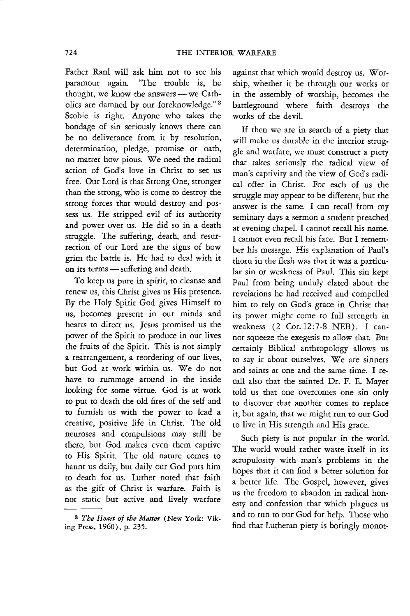Father RanI will ask him not to see his paramour again. "The trouble is, he thought, we know the answers  $-$  we Catholics are damned by our foreknowledge." 3 Scobie is right. Anyone who takes the bondage of sin seriously knows there can be no deliverance from it by resolution, determination, pledge, promise or oath, no matter how pious. We need the radical action of God's love in Christ to set us free. Our Lord is that Strong One, stronger than the strong, who is come to destroy the strong forces that would destroy and possess us. He stripped evil of its authority and power over us. He did so in a death struggle. The suffering, death, and resurrection of our Lord are the signs of how grim the battle is. He had to deal with it on its terms - suffering and death.

To keep us pure in spirit, to cleanse and renew us, this Christ gives us His presence. By the Holy Spirit God gives Himself to us, becomes present in our minds and hearts to direct us. Jesus promised us the power of the Spirit to produce in our lives the fruits of the Spirit. This is not simply a rearrangement, a reordering of our lives, but God at work within us. We do not have to rummage around in the inside looking for some virtue. God is at work to put to death the old fires of the self and to furnish us with the power to lead a creative, positive life in Christ. The old neuroses and compulsions may still be there, but God makes even them captive to His Spirit. The old namre comes to haunt us daily, but daily our God puts him to death for us. Luther noted that faith as the gift of Christ is warfare. Faith is not static but active and lively warfare

against that which would destroy us. Worship, whether it be through our works or in the assembly of worship, becomes the battleground where faith destroys the works of the devil.

If then we are in search of a piety that will make us durable in the interior struggle and warfare, we must construct a piety that takes seriously the radical view of man's captivity and the view of God's radical offer in Christ. For each of us the struggle may appear to be different, but the answer is the same. I can recall from my seminary days a sermon a student preached at evening chapel. I cannot recall his name. I cannot even recall his face. But I remember his message. His explanation of Paul's thorn in the flesh was that it was a particular sin or weakness of Paul. This sin kept Paul from being unduly elated about the revelations he had received and compelled him to rely on God's grace in Christ that its power might come to full strength in weakness (2 Cor.12:7-8 NEB). I cannot squeeze the exegesis to allow that. But certainly Biblical anthropology allows us to say it about ourselves. We are sinners and saints at one and the same time. I recall also that the sainted Dr. F. E. Mayer told us that one overcomes one sin only to discover that another comes to replace it, but again, that we might run to our God to live in His strength and His grace.

Such piety is not popular in the world. The world would rather waste itself in its scrupulosity with man's problems in the hopes that it can find a better solution for a better life. The Gospel, however, gives us the freedom to abandon in radical honesty and confession that which plagues us and to run to our God for help. Those who find that Lutheran piety is boringly monot-

<sup>3</sup> *The Heart of the Matter* (New York: Viking Press, 1960), p. 235.